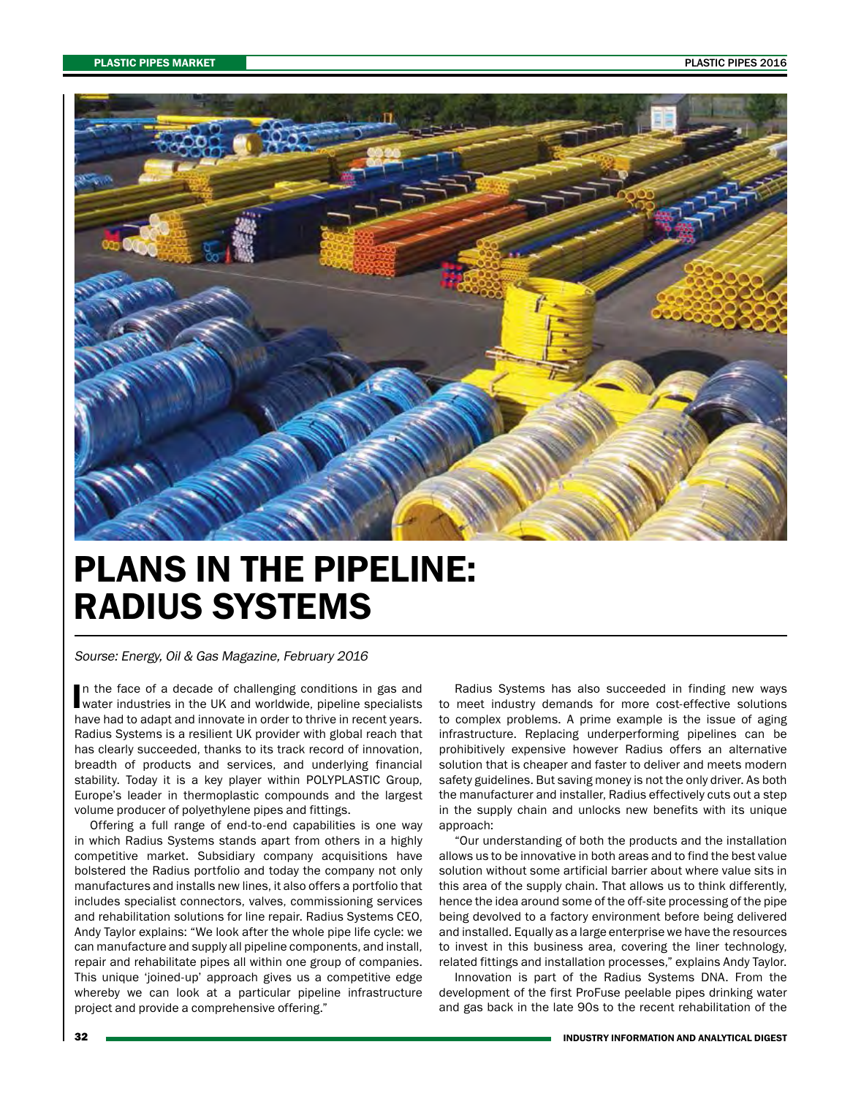

## PLANS IN THE PIPELINE: RADIUS SYSTEMS

Sourse: Energy, Oil & Gas Magazine, February 2016

In the face of a decade of challenging conditions in gas and water industries in the UK and worldwide, pipeline specialists n the face of a decade of challenging conditions in gas and have had to adapt and innovate in order to thrive in recent years. Radius Systems is a resilient UK provider with global reach that has clearly succeeded, thanks to its track record of innovation, breadth of products and services, and underlying financial stability. Today it is a key player within POLYPLASTIC Group, Europe's leader in thermoplastic compounds and the largest volume producer of polyethylene pipes and fittings.

Offering a full range of end-to-end capabilities is one way in which Radius Systems stands apart from others in a highly competitive market. Subsidiary company acquisitions have bolstered the Radius portfolio and today the company not only manufactures and installs new lines, it also offers a portfolio that includes specialist connectors, valves, commissioning services and rehabilitation solutions for line repair. Radius Systems CEO, Andy Taylor explains: "We look after the whole pipe life cycle: we can manufacture and supply all pipeline components, and install, repair and rehabilitate pipes all within one group of companies. This unique 'joined-up' approach gives us a competitive edge whereby we can look at a particular pipeline infrastructure project and provide a comprehensive offering."

Radius Systems has also succeeded in finding new ways to meet industry demands for more cost-effective solutions to complex problems. A prime example is the issue of aging infrastructure. Replacing underperforming pipelines can be prohibitively expensive however Radius offers an alternative solution that is cheaper and faster to deliver and meets modern safety guidelines. But saving money is not the only driver. As both the manufacturer and installer, Radius effectively cuts out a step in the supply chain and unlocks new benefits with its unique approach:

"Our understanding of both the products and the installation allows us to be innovative in both areas and to find the best value solution without some artificial barrier about where value sits in this area of the supply chain. That allows us to think differently, hence the idea around some of the off-site processing of the pipe being devolved to a factory environment before being delivered and installed. Equally as a large enterprise we have the resources to invest in this business area, covering the liner technology, related fittings and installation processes," explains Andy Taylor.

Innovation is part of the Radius Systems DNA. From the development of the first ProFuse peelable pipes drinking water and gas back in the late 90s to the recent rehabilitation of the